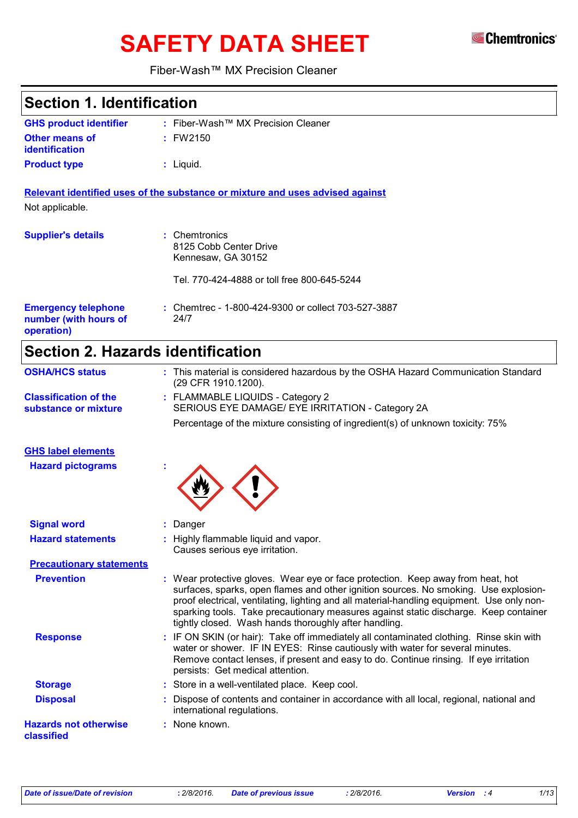# **SAFETY DATA SHEET**



### Fiber-Wash™ MX Precision Cleaner

| <b>Section 1. Identification</b>                                  |                                                                                                                                                                                                                                                                                                                                                                                                                        |
|-------------------------------------------------------------------|------------------------------------------------------------------------------------------------------------------------------------------------------------------------------------------------------------------------------------------------------------------------------------------------------------------------------------------------------------------------------------------------------------------------|
| <b>GHS product identifier</b>                                     | : Fiber-Wash™ MX Precision Cleaner                                                                                                                                                                                                                                                                                                                                                                                     |
| <b>Other means of</b><br>identification                           | : FW2150                                                                                                                                                                                                                                                                                                                                                                                                               |
| <b>Product type</b>                                               | $:$ Liquid.                                                                                                                                                                                                                                                                                                                                                                                                            |
| Not applicable.                                                   | Relevant identified uses of the substance or mixture and uses advised against                                                                                                                                                                                                                                                                                                                                          |
| <b>Supplier's details</b>                                         | Chemtronics<br>8125 Cobb Center Drive<br>Kennesaw, GA 30152                                                                                                                                                                                                                                                                                                                                                            |
|                                                                   | Tel. 770-424-4888 or toll free 800-645-5244                                                                                                                                                                                                                                                                                                                                                                            |
| <b>Emergency telephone</b><br>number (with hours of<br>operation) | : Chemtrec - 1-800-424-9300 or collect 703-527-3887<br>24/7                                                                                                                                                                                                                                                                                                                                                            |
| <b>Section 2. Hazards identification</b>                          |                                                                                                                                                                                                                                                                                                                                                                                                                        |
| <b>OSHA/HCS status</b>                                            | : This material is considered hazardous by the OSHA Hazard Communication Standard<br>(29 CFR 1910.1200).                                                                                                                                                                                                                                                                                                               |
| <b>Classification of the</b><br>substance or mixture              | : FLAMMABLE LIQUIDS - Category 2<br>SERIOUS EYE DAMAGE/ EYE IRRITATION - Category 2A<br>Percentage of the mixture consisting of ingredient(s) of unknown toxicity: 75%                                                                                                                                                                                                                                                 |
|                                                                   |                                                                                                                                                                                                                                                                                                                                                                                                                        |
| <b>GHS label elements</b><br><b>Hazard pictograms</b>             |                                                                                                                                                                                                                                                                                                                                                                                                                        |
|                                                                   |                                                                                                                                                                                                                                                                                                                                                                                                                        |
| <b>Signal word</b><br><b>Hazard statements</b>                    | : Danger<br>: Highly flammable liquid and vapor.<br>Causes serious eye irritation.                                                                                                                                                                                                                                                                                                                                     |
| <b>Precautionary statements</b>                                   |                                                                                                                                                                                                                                                                                                                                                                                                                        |
| <b>Prevention</b>                                                 | : Wear protective gloves. Wear eye or face protection. Keep away from heat, hot<br>surfaces, sparks, open flames and other ignition sources. No smoking. Use explosion-<br>proof electrical, ventilating, lighting and all material-handling equipment. Use only non-<br>sparking tools. Take precautionary measures against static discharge. Keep container<br>tightly closed. Wash hands thoroughly after handling. |
| <b>Response</b>                                                   | IF ON SKIN (or hair): Take off immediately all contaminated clothing. Rinse skin with<br>water or shower. IF IN EYES: Rinse cautiously with water for several minutes.<br>Remove contact lenses, if present and easy to do. Continue rinsing. If eye irritation<br>persists: Get medical attention.                                                                                                                    |
| <b>Storage</b>                                                    | : Store in a well-ventilated place. Keep cool.                                                                                                                                                                                                                                                                                                                                                                         |
| <b>Disposal</b>                                                   | Dispose of contents and container in accordance with all local, regional, national and<br>international regulations.                                                                                                                                                                                                                                                                                                   |
| <b>Hazards not otherwise</b><br>classified                        | : None known.                                                                                                                                                                                                                                                                                                                                                                                                          |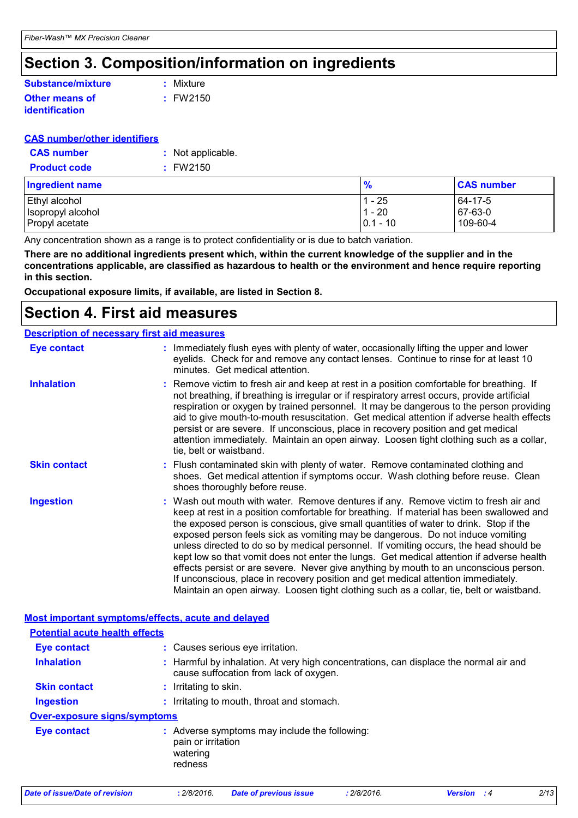### **Section 3. Composition/information on ingredients**

#### **Other means of identification Substance/mixture**

**:** FW2150 **:** Mixture

### **CAS number/other identifiers**

| <b>CAS number</b>   | : Not applicable. |
|---------------------|-------------------|
| <b>Product code</b> | $:$ FW2150        |

| <b>Ingredient name</b> | %           | <b>CAS number</b> |
|------------------------|-------------|-------------------|
| Ethyl alcohol          | - 25        | 64-17-5           |
| Isopropyl alcohol      | $-20$       | $ 67-63-0$        |
| Propyl acetate         | $ 0.1 - 10$ | 109-60-4          |

Any concentration shown as a range is to protect confidentiality or is due to batch variation.

**There are no additional ingredients present which, within the current knowledge of the supplier and in the concentrations applicable, are classified as hazardous to health or the environment and hence require reporting in this section.**

**Occupational exposure limits, if available, are listed in Section 8.**

### **Section 4. First aid measures**

| <b>Description of necessary first aid measures</b> |                                                                                                                                                                                                                                                                                                                                                                                                                                                                                                                                                                                                                                                                                                                                                                                                                           |
|----------------------------------------------------|---------------------------------------------------------------------------------------------------------------------------------------------------------------------------------------------------------------------------------------------------------------------------------------------------------------------------------------------------------------------------------------------------------------------------------------------------------------------------------------------------------------------------------------------------------------------------------------------------------------------------------------------------------------------------------------------------------------------------------------------------------------------------------------------------------------------------|
| <b>Eye contact</b>                                 | : Immediately flush eyes with plenty of water, occasionally lifting the upper and lower<br>eyelids. Check for and remove any contact lenses. Continue to rinse for at least 10<br>minutes. Get medical attention.                                                                                                                                                                                                                                                                                                                                                                                                                                                                                                                                                                                                         |
| <b>Inhalation</b>                                  | : Remove victim to fresh air and keep at rest in a position comfortable for breathing. If<br>not breathing, if breathing is irregular or if respiratory arrest occurs, provide artificial<br>respiration or oxygen by trained personnel. It may be dangerous to the person providing<br>aid to give mouth-to-mouth resuscitation. Get medical attention if adverse health effects<br>persist or are severe. If unconscious, place in recovery position and get medical<br>attention immediately. Maintain an open airway. Loosen tight clothing such as a collar,<br>tie, belt or waistband.                                                                                                                                                                                                                              |
| <b>Skin contact</b>                                | : Flush contaminated skin with plenty of water. Remove contaminated clothing and<br>shoes. Get medical attention if symptoms occur. Wash clothing before reuse. Clean<br>shoes thoroughly before reuse.                                                                                                                                                                                                                                                                                                                                                                                                                                                                                                                                                                                                                   |
| <b>Ingestion</b>                                   | : Wash out mouth with water. Remove dentures if any. Remove victim to fresh air and<br>keep at rest in a position comfortable for breathing. If material has been swallowed and<br>the exposed person is conscious, give small quantities of water to drink. Stop if the<br>exposed person feels sick as vomiting may be dangerous. Do not induce vomiting<br>unless directed to do so by medical personnel. If vomiting occurs, the head should be<br>kept low so that vomit does not enter the lungs. Get medical attention if adverse health<br>effects persist or are severe. Never give anything by mouth to an unconscious person.<br>If unconscious, place in recovery position and get medical attention immediately.<br>Maintain an open airway. Loosen tight clothing such as a collar, tie, belt or waistband. |
| Most important symptoms/effects, acute and delayed |                                                                                                                                                                                                                                                                                                                                                                                                                                                                                                                                                                                                                                                                                                                                                                                                                           |
| <b>Potential acute health effects</b>              |                                                                                                                                                                                                                                                                                                                                                                                                                                                                                                                                                                                                                                                                                                                                                                                                                           |
| <b>Eye contact</b>                                 | : Causes serious eye irritation.                                                                                                                                                                                                                                                                                                                                                                                                                                                                                                                                                                                                                                                                                                                                                                                          |
| <b>Inhalation</b>                                  | : Harmful by inhalation. At very high concentrations, can displace the normal air and<br>cause suffocation from lack of oxygen.                                                                                                                                                                                                                                                                                                                                                                                                                                                                                                                                                                                                                                                                                           |
| <b>Skin contact</b>                                | : Irritating to skin.                                                                                                                                                                                                                                                                                                                                                                                                                                                                                                                                                                                                                                                                                                                                                                                                     |
| <b>Ingestion</b>                                   | : Irritating to mouth, throat and stomach.                                                                                                                                                                                                                                                                                                                                                                                                                                                                                                                                                                                                                                                                                                                                                                                |
| Over-exposure signs/symptoms                       |                                                                                                                                                                                                                                                                                                                                                                                                                                                                                                                                                                                                                                                                                                                                                                                                                           |
| <b>Eye contact</b>                                 | : Adverse symptoms may include the following:<br>pain or irritation<br>watering<br>redness                                                                                                                                                                                                                                                                                                                                                                                                                                                                                                                                                                                                                                                                                                                                |

*Date of issue/Date of revision* **:** *2/8/2016. Date of previous issue : 2/8/2016. Version : 4 2/13*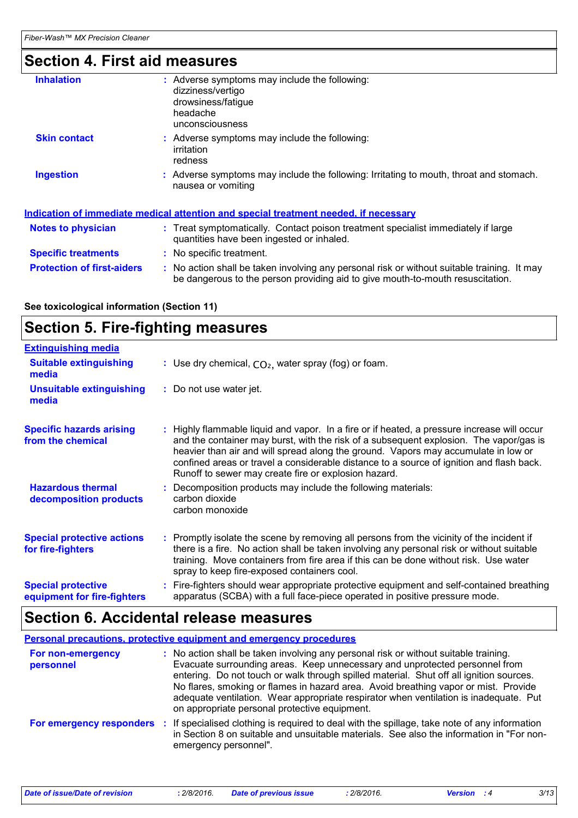### **Section 4. First aid measures**

| <b>Inhalation</b>                 | Adverse symptoms may include the following:<br>dizziness/vertigo<br>drowsiness/fatigue<br>headache<br>unconsciousness                                                         |
|-----------------------------------|-------------------------------------------------------------------------------------------------------------------------------------------------------------------------------|
| <b>Skin contact</b>               | : Adverse symptoms may include the following:<br>irritation<br>redness                                                                                                        |
| <b>Ingestion</b>                  | : Adverse symptoms may include the following: Irritating to mouth, throat and stomach.<br>nausea or vomiting                                                                  |
|                                   | <u>Indication of immediate medical attention and special treatment needed, if necessary</u>                                                                                   |
| <b>Notes to physician</b>         | : Treat symptomatically. Contact poison treatment specialist immediately if large<br>quantities have been ingested or inhaled.                                                |
| <b>Specific treatments</b>        | : No specific treatment.                                                                                                                                                      |
| <b>Protection of first-aiders</b> | : No action shall be taken involving any personal risk or without suitable training. It may<br>be dangerous to the person providing aid to give mouth-to-mouth resuscitation. |

**See toxicological information (Section 11)**

### **Section 5. Fire-fighting measures**

| <b>Extinguishing media</b>                               |                                                                                                                                                                                                                                                                                                                                                                                                                                 |
|----------------------------------------------------------|---------------------------------------------------------------------------------------------------------------------------------------------------------------------------------------------------------------------------------------------------------------------------------------------------------------------------------------------------------------------------------------------------------------------------------|
| <b>Suitable extinguishing</b><br>media                   | : Use dry chemical, $CO2$ , water spray (fog) or foam.                                                                                                                                                                                                                                                                                                                                                                          |
| <b>Unsuitable extinguishing</b><br>media                 | : Do not use water jet.                                                                                                                                                                                                                                                                                                                                                                                                         |
| <b>Specific hazards arising</b><br>from the chemical     | : Highly flammable liquid and vapor. In a fire or if heated, a pressure increase will occur<br>and the container may burst, with the risk of a subsequent explosion. The vapor/gas is<br>heavier than air and will spread along the ground. Vapors may accumulate in low or<br>confined areas or travel a considerable distance to a source of ignition and flash back.<br>Runoff to sewer may create fire or explosion hazard. |
| <b>Hazardous thermal</b><br>decomposition products       | : Decomposition products may include the following materials:<br>carbon dioxide<br>carbon monoxide                                                                                                                                                                                                                                                                                                                              |
| <b>Special protective actions</b><br>for fire-fighters   | : Promptly isolate the scene by removing all persons from the vicinity of the incident if<br>there is a fire. No action shall be taken involving any personal risk or without suitable<br>training. Move containers from fire area if this can be done without risk. Use water<br>spray to keep fire-exposed containers cool.                                                                                                   |
| <b>Special protective</b><br>equipment for fire-fighters | Fire-fighters should wear appropriate protective equipment and self-contained breathing<br>apparatus (SCBA) with a full face-piece operated in positive pressure mode.                                                                                                                                                                                                                                                          |

### **Section 6. Accidental release measures**

**Personal precautions, protective equipment and emergency procedures**

| For non-emergency<br>personnel | : No action shall be taken involving any personal risk or without suitable training.<br>Evacuate surrounding areas. Keep unnecessary and unprotected personnel from<br>entering. Do not touch or walk through spilled material. Shut off all ignition sources.<br>No flares, smoking or flames in hazard area. Avoid breathing vapor or mist. Provide<br>adequate ventilation. Wear appropriate respirator when ventilation is inadequate. Put<br>on appropriate personal protective equipment. |
|--------------------------------|-------------------------------------------------------------------------------------------------------------------------------------------------------------------------------------------------------------------------------------------------------------------------------------------------------------------------------------------------------------------------------------------------------------------------------------------------------------------------------------------------|
| For emergency responders       | If specialised clothing is required to deal with the spillage, take note of any information<br>-21<br>in Section 8 on suitable and unsuitable materials. See also the information in "For non-<br>emergency personnel".                                                                                                                                                                                                                                                                         |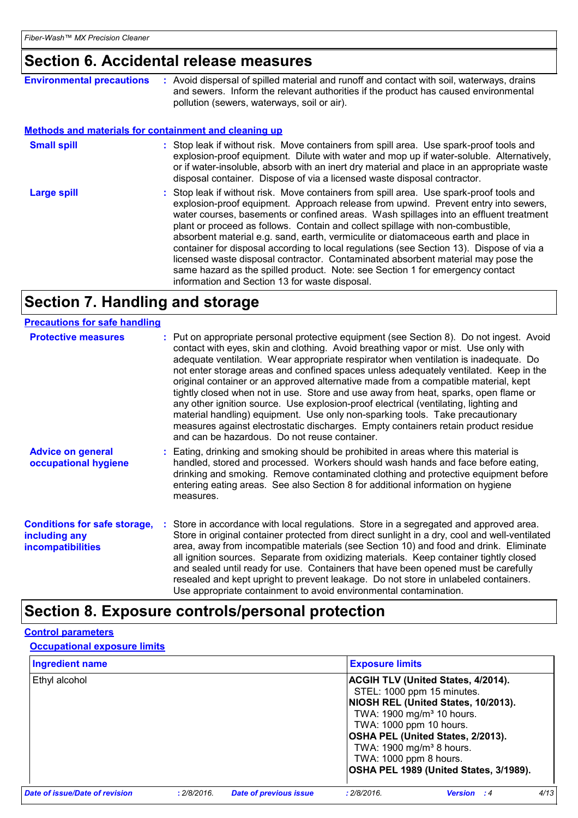## **Section 6. Accidental release measures**

| <b>Environmental precautions</b>                      | : Avoid dispersal of spilled material and runoff and contact with soil, waterways, drains<br>and sewers. Inform the relevant authorities if the product has caused environmental<br>pollution (sewers, waterways, soil or air).                                                                                                                                                                                                                                                                                                                                                                                                                                                                                                                                      |
|-------------------------------------------------------|----------------------------------------------------------------------------------------------------------------------------------------------------------------------------------------------------------------------------------------------------------------------------------------------------------------------------------------------------------------------------------------------------------------------------------------------------------------------------------------------------------------------------------------------------------------------------------------------------------------------------------------------------------------------------------------------------------------------------------------------------------------------|
| Methods and materials for containment and cleaning up |                                                                                                                                                                                                                                                                                                                                                                                                                                                                                                                                                                                                                                                                                                                                                                      |
| <b>Small spill</b>                                    | : Stop leak if without risk. Move containers from spill area. Use spark-proof tools and<br>explosion-proof equipment. Dilute with water and mop up if water-soluble. Alternatively,<br>or if water-insoluble, absorb with an inert dry material and place in an appropriate waste<br>disposal container. Dispose of via a licensed waste disposal contractor.                                                                                                                                                                                                                                                                                                                                                                                                        |
| <b>Large spill</b>                                    | : Stop leak if without risk. Move containers from spill area. Use spark-proof tools and<br>explosion-proof equipment. Approach release from upwind. Prevent entry into sewers,<br>water courses, basements or confined areas. Wash spillages into an effluent treatment<br>plant or proceed as follows. Contain and collect spillage with non-combustible,<br>absorbent material e.g. sand, earth, vermiculite or diatomaceous earth and place in<br>container for disposal according to local regulations (see Section 13). Dispose of via a<br>licensed waste disposal contractor. Contaminated absorbent material may pose the<br>same hazard as the spilled product. Note: see Section 1 for emergency contact<br>information and Section 13 for waste disposal. |

## **Section 7. Handling and storage**

| <b>Precautions for safe handling</b>                                             |                                                                                                                                                                                                                                                                                                                                                                                                                                                                                                                                                                                                                                                                                                                                                                                                                                                               |
|----------------------------------------------------------------------------------|---------------------------------------------------------------------------------------------------------------------------------------------------------------------------------------------------------------------------------------------------------------------------------------------------------------------------------------------------------------------------------------------------------------------------------------------------------------------------------------------------------------------------------------------------------------------------------------------------------------------------------------------------------------------------------------------------------------------------------------------------------------------------------------------------------------------------------------------------------------|
| <b>Protective measures</b>                                                       | : Put on appropriate personal protective equipment (see Section 8). Do not ingest. Avoid<br>contact with eyes, skin and clothing. Avoid breathing vapor or mist. Use only with<br>adequate ventilation. Wear appropriate respirator when ventilation is inadequate. Do<br>not enter storage areas and confined spaces unless adequately ventilated. Keep in the<br>original container or an approved alternative made from a compatible material, kept<br>tightly closed when not in use. Store and use away from heat, sparks, open flame or<br>any other ignition source. Use explosion-proof electrical (ventilating, lighting and<br>material handling) equipment. Use only non-sparking tools. Take precautionary<br>measures against electrostatic discharges. Empty containers retain product residue<br>and can be hazardous. Do not reuse container. |
| <b>Advice on general</b><br>occupational hygiene                                 | : Eating, drinking and smoking should be prohibited in areas where this material is<br>handled, stored and processed. Workers should wash hands and face before eating,<br>drinking and smoking. Remove contaminated clothing and protective equipment before<br>entering eating areas. See also Section 8 for additional information on hygiene<br>measures.                                                                                                                                                                                                                                                                                                                                                                                                                                                                                                 |
| <b>Conditions for safe storage,</b><br>including any<br><i>incompatibilities</i> | : Store in accordance with local regulations. Store in a segregated and approved area.<br>Store in original container protected from direct sunlight in a dry, cool and well-ventilated<br>area, away from incompatible materials (see Section 10) and food and drink. Eliminate<br>all ignition sources. Separate from oxidizing materials. Keep container tightly closed<br>and sealed until ready for use. Containers that have been opened must be carefully<br>resealed and kept upright to prevent leakage. Do not store in unlabeled containers.<br>Use appropriate containment to avoid environmental contamination.                                                                                                                                                                                                                                  |

### **Section 8. Exposure controls/personal protection**

### **Control parameters**

### **Occupational exposure limits**

| <b>Ingredient name</b>         |             |                               | <b>Exposure limits</b>                                                                    |                                                                                                                                                                                                                                        |      |
|--------------------------------|-------------|-------------------------------|-------------------------------------------------------------------------------------------|----------------------------------------------------------------------------------------------------------------------------------------------------------------------------------------------------------------------------------------|------|
| Ethyl alcohol                  |             |                               | TWA: 1000 ppm 10 hours.<br>TWA: 1900 mg/m <sup>3</sup> 8 hours.<br>TWA: 1000 ppm 8 hours. | <b>ACGIH TLV (United States, 4/2014).</b><br>STEL: 1000 ppm 15 minutes.<br>NIOSH REL (United States, 10/2013).<br>TWA: 1900 mg/m <sup>3</sup> 10 hours.<br>OSHA PEL (United States, 2/2013).<br>OSHA PEL 1989 (United States, 3/1989). |      |
| Date of issue/Date of revision | : 2/8/2016. | <b>Date of previous issue</b> | : 2/8/2016.                                                                               | <b>Version</b> : 4                                                                                                                                                                                                                     | 4/13 |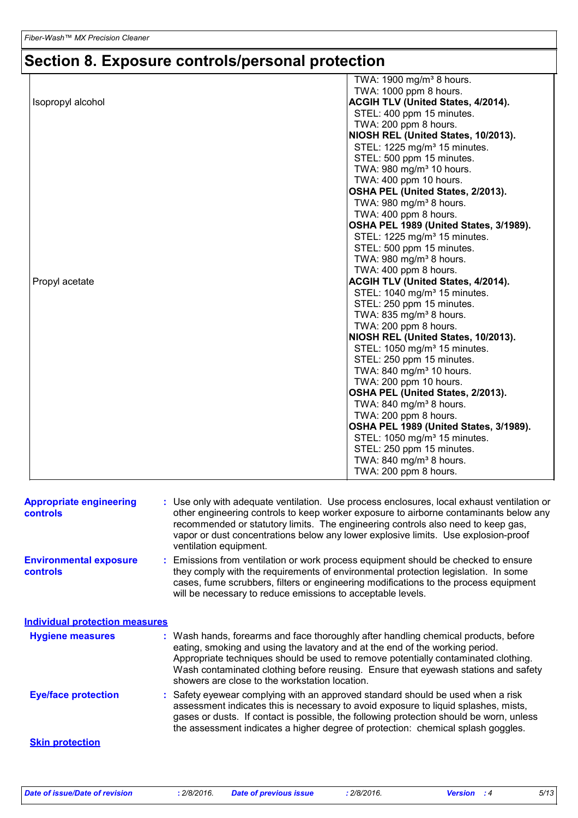# **Section 8. Exposure controls/personal protection**

|                   | TWA: 1900 mg/m <sup>3</sup> 8 hours.      |
|-------------------|-------------------------------------------|
|                   | TWA: 1000 ppm 8 hours.                    |
| Isopropyl alcohol | ACGIH TLV (United States, 4/2014).        |
|                   | STEL: 400 ppm 15 minutes.                 |
|                   | TWA: 200 ppm 8 hours.                     |
|                   | NIOSH REL (United States, 10/2013).       |
|                   | STEL: 1225 mg/m <sup>3</sup> 15 minutes.  |
|                   | STEL: 500 ppm 15 minutes.                 |
|                   | TWA: 980 mg/m <sup>3</sup> 10 hours.      |
|                   | TWA: 400 ppm 10 hours.                    |
|                   | OSHA PEL (United States, 2/2013).         |
|                   | TWA: $980$ mg/m <sup>3</sup> 8 hours.     |
|                   | TWA: 400 ppm 8 hours.                     |
|                   | OSHA PEL 1989 (United States, 3/1989).    |
|                   | STEL: 1225 mg/m <sup>3</sup> 15 minutes.  |
|                   | STEL: 500 ppm 15 minutes.                 |
|                   | TWA: $980$ mg/m <sup>3</sup> 8 hours.     |
|                   | TWA: 400 ppm 8 hours.                     |
| Propyl acetate    | <b>ACGIH TLV (United States, 4/2014).</b> |
|                   | STEL: 1040 mg/m <sup>3</sup> 15 minutes.  |
|                   | STEL: 250 ppm 15 minutes.                 |
|                   | TWA: 835 mg/m <sup>3</sup> 8 hours.       |
|                   | TWA: 200 ppm 8 hours.                     |
|                   | NIOSH REL (United States, 10/2013).       |
|                   | STEL: 1050 mg/m <sup>3</sup> 15 minutes.  |
|                   | STEL: 250 ppm 15 minutes.                 |
|                   | TWA: 840 mg/m <sup>3</sup> 10 hours.      |
|                   | TWA: 200 ppm 10 hours.                    |
|                   | OSHA PEL (United States, 2/2013).         |
|                   | TWA: 840 mg/m <sup>3</sup> 8 hours.       |
|                   | TWA: 200 ppm 8 hours.                     |
|                   | OSHA PEL 1989 (United States, 3/1989).    |
|                   | STEL: 1050 mg/m <sup>3</sup> 15 minutes.  |
|                   | STEL: 250 ppm 15 minutes.                 |
|                   | TWA: 840 mg/m <sup>3</sup> 8 hours.       |
|                   | TWA: 200 ppm 8 hours.                     |
|                   |                                           |

| <b>Appropriate engineering</b><br><b>controls</b> | : Use only with adequate ventilation. Use process enclosures, local exhaust ventilation or<br>other engineering controls to keep worker exposure to airborne contaminants below any<br>recommended or statutory limits. The engineering controls also need to keep gas,<br>vapor or dust concentrations below any lower explosive limits. Use explosion-proof<br>ventilation equipment.           |
|---------------------------------------------------|---------------------------------------------------------------------------------------------------------------------------------------------------------------------------------------------------------------------------------------------------------------------------------------------------------------------------------------------------------------------------------------------------|
| <b>Environmental exposure</b><br><b>controls</b>  | : Emissions from ventilation or work process equipment should be checked to ensure<br>they comply with the requirements of environmental protection legislation. In some<br>cases, fume scrubbers, filters or engineering modifications to the process equipment<br>will be necessary to reduce emissions to acceptable levels.                                                                   |
| <b>Individual protection measures</b>             |                                                                                                                                                                                                                                                                                                                                                                                                   |
| <b>Hygiene measures</b>                           | : Wash hands, forearms and face thoroughly after handling chemical products, before<br>eating, smoking and using the lavatory and at the end of the working period.<br>Appropriate techniques should be used to remove potentially contaminated clothing.<br>Wash contaminated clothing before reusing. Ensure that eyewash stations and safety<br>showers are close to the workstation location. |
| <b>Eye/face protection</b>                        | : Safety eyewear complying with an approved standard should be used when a risk<br>assessment indicates this is necessary to avoid exposure to liquid splashes, mists,<br>gases or dusts. If contact is possible, the following protection should be worn, unless<br>the assessment indicates a higher degree of protection: chemical splash goggles.                                             |
| <b>Skin protection</b>                            |                                                                                                                                                                                                                                                                                                                                                                                                   |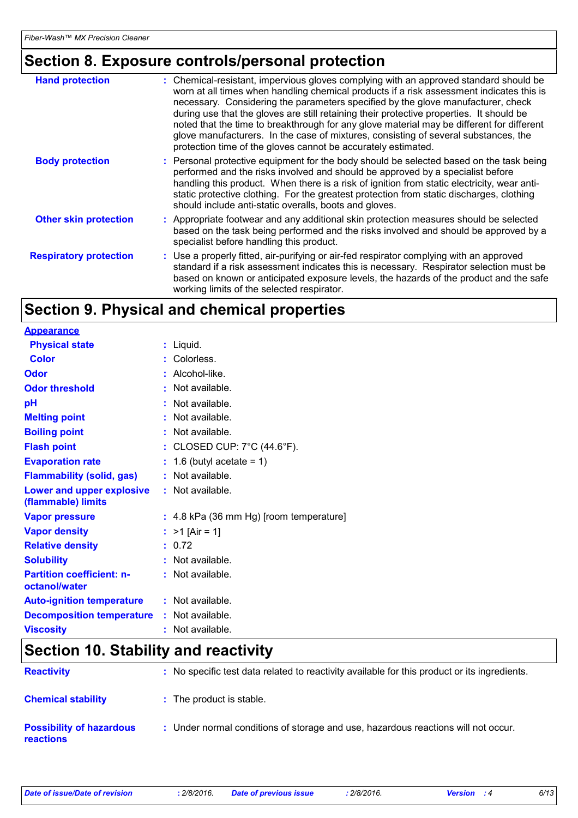### **Section 8. Exposure controls/personal protection**

| <b>Hand protection</b>        | : Chemical-resistant, impervious gloves complying with an approved standard should be<br>worn at all times when handling chemical products if a risk assessment indicates this is<br>necessary. Considering the parameters specified by the glove manufacturer, check<br>during use that the gloves are still retaining their protective properties. It should be<br>noted that the time to breakthrough for any glove material may be different for different<br>glove manufacturers. In the case of mixtures, consisting of several substances, the<br>protection time of the gloves cannot be accurately estimated. |
|-------------------------------|------------------------------------------------------------------------------------------------------------------------------------------------------------------------------------------------------------------------------------------------------------------------------------------------------------------------------------------------------------------------------------------------------------------------------------------------------------------------------------------------------------------------------------------------------------------------------------------------------------------------|
| <b>Body protection</b>        | : Personal protective equipment for the body should be selected based on the task being<br>performed and the risks involved and should be approved by a specialist before<br>handling this product. When there is a risk of ignition from static electricity, wear anti-<br>static protective clothing. For the greatest protection from static discharges, clothing<br>should include anti-static overalls, boots and gloves.                                                                                                                                                                                         |
| <b>Other skin protection</b>  | : Appropriate footwear and any additional skin protection measures should be selected<br>based on the task being performed and the risks involved and should be approved by a<br>specialist before handling this product.                                                                                                                                                                                                                                                                                                                                                                                              |
| <b>Respiratory protection</b> | : Use a properly fitted, air-purifying or air-fed respirator complying with an approved<br>standard if a risk assessment indicates this is necessary. Respirator selection must be<br>based on known or anticipated exposure levels, the hazards of the product and the safe<br>working limits of the selected respirator.                                                                                                                                                                                                                                                                                             |

### **Section 9. Physical and chemical properties**

| <b>Appearance</b>                                      |    |                                                  |
|--------------------------------------------------------|----|--------------------------------------------------|
| <b>Physical state</b>                                  |    | $:$ Liquid.                                      |
| <b>Color</b>                                           |    | : Colorless.                                     |
| Odor                                                   |    | Alcohol-like.                                    |
| <b>Odor threshold</b>                                  | t. | Not available.                                   |
| рH                                                     |    | Not available.                                   |
| <b>Melting point</b>                                   |    | Not available.                                   |
| <b>Boiling point</b>                                   | ÷. | Not available.                                   |
| <b>Flash point</b>                                     |    | : CLOSED CUP: $7^{\circ}$ C (44.6 $^{\circ}$ F). |
| <b>Evaporation rate</b>                                |    | 1.6 (butyl acetate = $1$ )                       |
| <b>Flammability (solid, gas)</b>                       |    | : Not available.                                 |
| <b>Lower and upper explosive</b><br>(flammable) limits |    | : Not available.                                 |
| <b>Vapor pressure</b>                                  |    | : 4.8 kPa (36 mm Hg) [room temperature]          |
| <b>Vapor density</b>                                   |    | : $>1$ [Air = 1]                                 |
| <b>Relative density</b>                                |    | : 0.72                                           |
| <b>Solubility</b>                                      |    | $:$ Not available.                               |
| <b>Partition coefficient: n-</b><br>octanol/water      |    | $:$ Not available.                               |
| <b>Auto-ignition temperature</b>                       |    | $:$ Not available.                               |
| <b>Decomposition temperature</b>                       |    | : Not available.                                 |
| <b>Viscosity</b>                                       |    | : Not available.                                 |

### **Section 10. Stability and reactivity**

| <b>Reactivity</b>                            | : No specific test data related to reactivity available for this product or its ingredients. |
|----------------------------------------------|----------------------------------------------------------------------------------------------|
| <b>Chemical stability</b>                    | : The product is stable.                                                                     |
| <b>Possibility of hazardous</b><br>reactions | : Under normal conditions of storage and use, hazardous reactions will not occur.            |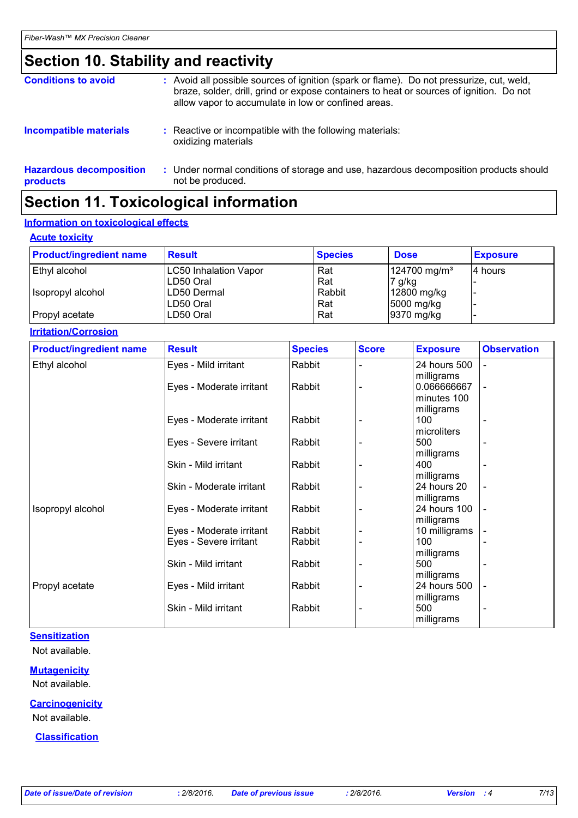### **Section 10. Stability and reactivity**

| Ocation 44 Toutesteated information        |                                                                                                                                                                                                                                            |  |
|--------------------------------------------|--------------------------------------------------------------------------------------------------------------------------------------------------------------------------------------------------------------------------------------------|--|
| <b>Hazardous decomposition</b><br>products | : Under normal conditions of storage and use, hazardous decomposition products should<br>not be produced.                                                                                                                                  |  |
| <b>Incompatible materials</b>              | : Reactive or incompatible with the following materials:<br>oxidizing materials                                                                                                                                                            |  |
| <b>Conditions to avoid</b>                 | : Avoid all possible sources of ignition (spark or flame). Do not pressurize, cut, weld,<br>braze, solder, drill, grind or expose containers to heat or sources of ignition. Do not<br>allow vapor to accumulate in low or confined areas. |  |

### **Section 11. Toxicological information**

### **Information on toxicological effects**

|  | <b>Acute toxicity</b> |  |
|--|-----------------------|--|
|  |                       |  |

| <b>Product/ingredient name</b> | <b>Result</b>                | <b>Species</b> | <b>Dose</b>              | <b>Exposure</b> |
|--------------------------------|------------------------------|----------------|--------------------------|-----------------|
| Ethyl alcohol                  | <b>LC50 Inhalation Vapor</b> | Rat            | 124700 mg/m <sup>3</sup> | 14 hours        |
|                                | LD50 Oral                    | Rat            | 7 g/kg                   |                 |
| Isopropyl alcohol              | LD50 Dermal                  | Rabbit         | 12800 mg/kg              |                 |
|                                | ILD50 Oral                   | Rat            | 5000 mg/kg               |                 |
| Propyl acetate                 | LD50 Oral                    | Rat            | 9370 mg/kg               |                 |

**Irritation/Corrosion**

| <b>Product/ingredient name</b> | <b>Result</b>            | <b>Species</b> | <b>Score</b> | <b>Exposure</b> | <b>Observation</b>       |
|--------------------------------|--------------------------|----------------|--------------|-----------------|--------------------------|
| Ethyl alcohol                  | Eyes - Mild irritant     | Rabbit         |              | 24 hours 500    | $\overline{\phantom{a}}$ |
|                                |                          |                |              | milligrams      |                          |
|                                | Eyes - Moderate irritant | Rabbit         |              | 0.066666667     | $\overline{\phantom{a}}$ |
|                                |                          |                |              | minutes 100     |                          |
|                                |                          |                |              | milligrams      |                          |
|                                | Eyes - Moderate irritant | Rabbit         |              | 100             |                          |
|                                |                          |                |              | microliters     |                          |
|                                | Eyes - Severe irritant   | Rabbit         |              | 500             |                          |
|                                |                          |                |              | milligrams      |                          |
|                                | Skin - Mild irritant     | Rabbit         |              | 400             |                          |
|                                |                          |                |              | milligrams      |                          |
|                                | Skin - Moderate irritant | Rabbit         |              | 24 hours 20     | $\blacksquare$           |
|                                |                          |                |              | milligrams      |                          |
| Isopropyl alcohol              | Eyes - Moderate irritant | Rabbit         |              | 24 hours 100    | $\overline{\phantom{a}}$ |
|                                |                          |                |              | milligrams      |                          |
|                                | Eyes - Moderate irritant | Rabbit         |              | 10 milligrams   |                          |
|                                | Eyes - Severe irritant   | Rabbit         |              | 100             |                          |
|                                |                          |                |              | milligrams      |                          |
|                                | Skin - Mild irritant     | Rabbit         |              | 500             |                          |
|                                |                          |                |              | milligrams      |                          |
| Propyl acetate                 | Eyes - Mild irritant     | Rabbit         |              | 24 hours 500    |                          |
|                                |                          |                |              | milligrams      |                          |
|                                | Skin - Mild irritant     | Rabbit         |              | 500             |                          |
|                                |                          |                |              | milligrams      |                          |

### **Sensitization**

Not available.

### **Mutagenicity**

Not available.

#### **Carcinogenicity** Not available.

**Classification**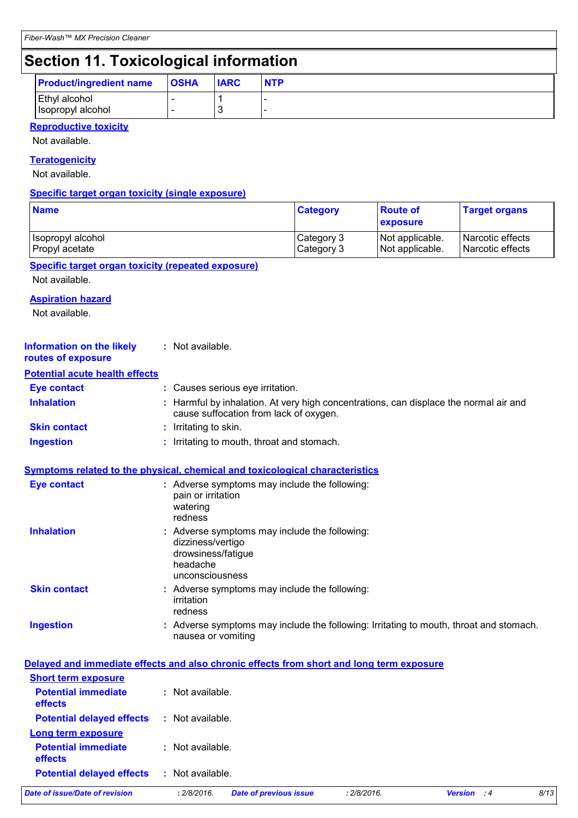## **Section 11. Toxicological information**

| <b>Product/ingredient name</b>     | <b>OSHA</b>                                          | <b>IARC</b> | <b>NTP</b> |
|------------------------------------|------------------------------------------------------|-------------|------------|
| Ethyl alcohol<br>Isopropyl alcohol | $\overline{\phantom{0}}$<br>$\overline{\phantom{a}}$ |             |            |

#### **Reproductive toxicity**

Not available.

#### **Teratogenicity**

Not available.

#### **Specific target organ toxicity (single exposure)**

| <b>Name</b>         | <b>Category</b> | <b>Route of</b><br>exposure | <b>Target organs</b>    |
|---------------------|-----------------|-----------------------------|-------------------------|
| I Isopropyl alcohol | Category 3      | Not applicable.             | Narcotic effects        |
| Propyl acetate      | Category 3      | Not applicable.             | <b>Narcotic effects</b> |

#### **Specific target organ toxicity (repeated exposure)**

Not available.

#### **Aspiration hazard**

Not available.

| <b>Information on the likely</b><br>routes of exposure | : Not available.                                                                                                                |
|--------------------------------------------------------|---------------------------------------------------------------------------------------------------------------------------------|
| <b>Potential acute health effects</b>                  |                                                                                                                                 |
| <b>Eye contact</b>                                     | : Causes serious eye irritation.                                                                                                |
| <b>Inhalation</b>                                      | : Harmful by inhalation. At very high concentrations, can displace the normal air and<br>cause suffocation from lack of oxygen. |
| <b>Skin contact</b>                                    | : Irritating to skin.                                                                                                           |
| <b>Ingestion</b>                                       | : Irritating to mouth, throat and stomach.                                                                                      |

#### **Symptoms related to the physical, chemical and toxicological characteristics**

| <b>Eye contact</b>  | : Adverse symptoms may include the following:<br>pain or irritation<br>watering<br>redness                              |
|---------------------|-------------------------------------------------------------------------------------------------------------------------|
| <b>Inhalation</b>   | : Adverse symptoms may include the following:<br>dizziness/vertigo<br>drowsiness/fatigue<br>headache<br>unconsciousness |
| <b>Skin contact</b> | : Adverse symptoms may include the following:<br>irritation<br>redness                                                  |
| <b>Ingestion</b>    | : Adverse symptoms may include the following: Irritating to mouth, throat and stomach.<br>nausea or vomiting            |

|                                              | Delayed and immediate effects and also chronic effects from short and long term exposure |                    |      |
|----------------------------------------------|------------------------------------------------------------------------------------------|--------------------|------|
| <b>Short term exposure</b>                   |                                                                                          |                    |      |
| <b>Potential immediate</b><br><b>effects</b> | : Not available.                                                                         |                    |      |
| <b>Potential delayed effects</b>             | : Not available.                                                                         |                    |      |
| <b>Long term exposure</b>                    |                                                                                          |                    |      |
| <b>Potential immediate</b><br><b>effects</b> | $:$ Not available.                                                                       |                    |      |
| <b>Potential delayed effects</b>             | : Not available.                                                                         |                    |      |
| Date of issue/Date of revision               | : 2/8/2016.<br>: 2/8/2016.<br><b>Date of previous issue</b>                              | <b>Version</b> : 4 | 8/13 |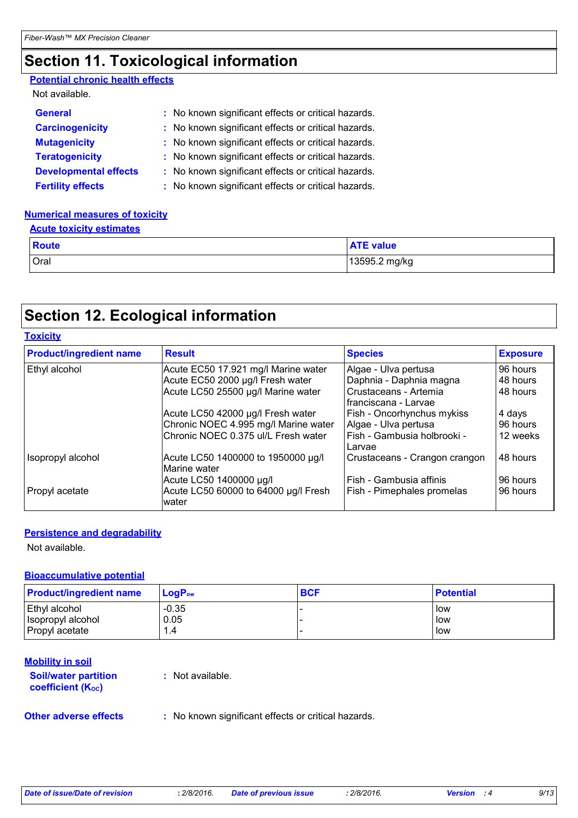### **Section 11. Toxicological information**

#### **Potential chronic health effects**

#### Not available.

| <b>General</b>               | : No known significant effects or critical hazards. |
|------------------------------|-----------------------------------------------------|
| <b>Carcinogenicity</b>       | : No known significant effects or critical hazards. |
| <b>Mutagenicity</b>          | : No known significant effects or critical hazards. |
| <b>Teratogenicity</b>        | : No known significant effects or critical hazards. |
| <b>Developmental effects</b> | : No known significant effects or critical hazards. |
| <b>Fertility effects</b>     | : No known significant effects or critical hazards. |

#### **Numerical measures of toxicity**

| <b>Acute toxicity estimates</b> |                  |  |  |
|---------------------------------|------------------|--|--|
| <b>Route</b>                    | <b>ATE value</b> |  |  |
| Oral                            | 13595.2 mg/kg    |  |  |

### **Section 12. Ecological information**

#### **Toxicity**

| <b>Product/ingredient name</b> | <b>Result</b>                                      | <b>Species</b>                                | <b>Exposure</b> |
|--------------------------------|----------------------------------------------------|-----------------------------------------------|-----------------|
| Ethyl alcohol                  | Acute EC50 17.921 mg/l Marine water                | Algae - Ulva pertusa                          | 96 hours        |
|                                | Acute EC50 2000 µg/l Fresh water                   | Daphnia - Daphnia magna                       | 48 hours        |
|                                | Acute LC50 25500 µg/l Marine water                 | Crustaceans - Artemia<br>franciscana - Larvae | 48 hours        |
|                                | Acute LC50 42000 µg/l Fresh water                  | Fish - Oncorhynchus mykiss                    | 4 days          |
|                                | Chronic NOEC 4.995 mg/l Marine water               | Algae - Ulva pertusa                          | 96 hours        |
|                                | Chronic NOEC 0.375 ul/L Fresh water                | Fish - Gambusia holbrooki -<br>Larvae         | 12 weeks        |
| Isopropyl alcohol              | Acute LC50 1400000 to 1950000 µg/l<br>Marine water | Crustaceans - Crangon crangon                 | 48 hours        |
|                                | Acute LC50 1400000 µg/l                            | Fish - Gambusia affinis                       | 96 hours        |
| Propyl acetate                 | Acute LC50 60000 to 64000 µg/l Fresh<br>water      | Fish - Pimephales promelas                    | 96 hours        |

### **Persistence and degradability**

Not available.

### **Bioaccumulative potential**

| <b>Product/ingredient name</b> | ∣ LoqP <sub>ow</sub> | <b>BCF</b> | <b>Potential</b> |
|--------------------------------|----------------------|------------|------------------|
| Ethyl alcohol                  | $-0.35$              |            | low              |
| Isopropyl alcohol              | 0.05                 |            | l low            |
| Propyl acetate                 | 1.4                  |            | l low            |

#### **Mobility in soil**

#### **Soil/water partition coefficient (Koc)**

**:** Not available.

**Other adverse effects** : No known significant effects or critical hazards.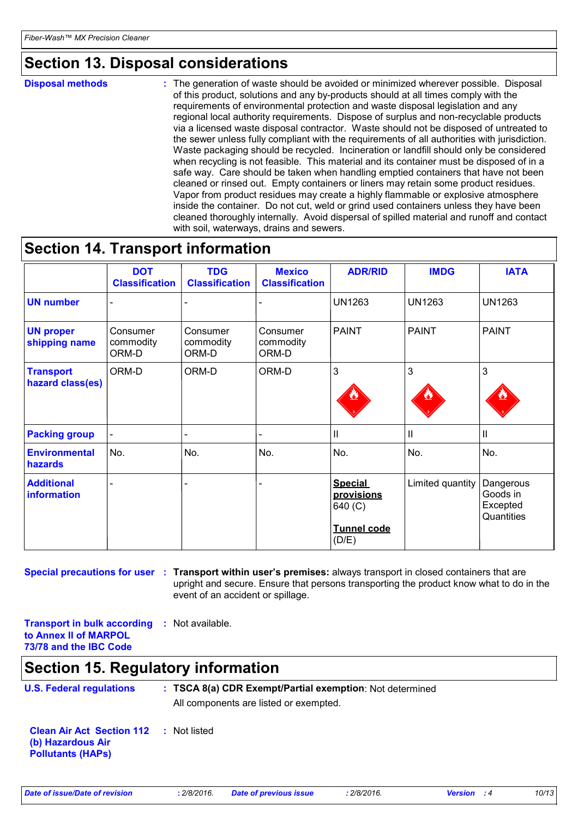### **Section 13. Disposal considerations**

**Disposal methods :**

The generation of waste should be avoided or minimized wherever possible. Disposal of this product, solutions and any by-products should at all times comply with the requirements of environmental protection and waste disposal legislation and any regional local authority requirements. Dispose of surplus and non-recyclable products via a licensed waste disposal contractor. Waste should not be disposed of untreated to the sewer unless fully compliant with the requirements of all authorities with jurisdiction. Waste packaging should be recycled. Incineration or landfill should only be considered when recycling is not feasible. This material and its container must be disposed of in a safe way. Care should be taken when handling emptied containers that have not been cleaned or rinsed out. Empty containers or liners may retain some product residues. Vapor from product residues may create a highly flammable or explosive atmosphere inside the container. Do not cut, weld or grind used containers unless they have been cleaned thoroughly internally. Avoid dispersal of spilled material and runoff and contact with soil, waterways, drains and sewers.

### **Section 14. Transport information**

|                                      | <b>DOT</b><br><b>Classification</b> | <b>TDG</b><br><b>Classification</b> | <b>Mexico</b><br><b>Classification</b> | <b>ADR/RID</b>                                                         | <b>IMDG</b>      | <b>IATA</b>                                     |
|--------------------------------------|-------------------------------------|-------------------------------------|----------------------------------------|------------------------------------------------------------------------|------------------|-------------------------------------------------|
| <b>UN number</b>                     |                                     |                                     |                                        | <b>UN1263</b>                                                          | <b>UN1263</b>    | <b>UN1263</b>                                   |
| <b>UN proper</b><br>shipping name    | Consumer<br>commodity<br>ORM-D      | Consumer<br>commodity<br>ORM-D      | Consumer<br>commodity<br>ORM-D         | <b>PAINT</b>                                                           | <b>PAINT</b>     | <b>PAINT</b>                                    |
| <b>Transport</b><br>hazard class(es) | ORM-D                               | ORM-D                               | ORM-D                                  | 3                                                                      | 3                | 3                                               |
| <b>Packing group</b>                 |                                     |                                     |                                        | Ш                                                                      | $\mathbf{I}$     | $\mathbf{II}$                                   |
| <b>Environmental</b><br>hazards      | No.                                 | No.                                 | No.                                    | No.                                                                    | No.              | No.                                             |
| <b>Additional</b><br>information     |                                     |                                     |                                        | <b>Special</b><br>provisions<br>640 (C)<br><b>Tunnel code</b><br>(D/E) | Limited quantity | Dangerous<br>Goods in<br>Excepted<br>Quantities |

**Special precautions for user** : Transport within user's premises: always transport in closed containers that are upright and secure. Ensure that persons transporting the product know what to do in the event of an accident or spillage.

**Transport in bulk according to Annex II of MARPOL 73/78 and the IBC Code :** Not available.

### **Section 15. Regulatory information**

| <b>U.S. Federal regulations</b>                                                                | : TSCA 8(a) CDR Exempt/Partial exemption: Not determined<br>All components are listed or exempted. |
|------------------------------------------------------------------------------------------------|----------------------------------------------------------------------------------------------------|
| <b>Clean Air Act Section 112 : Not listed</b><br>(b) Hazardous Air<br><b>Pollutants (HAPS)</b> |                                                                                                    |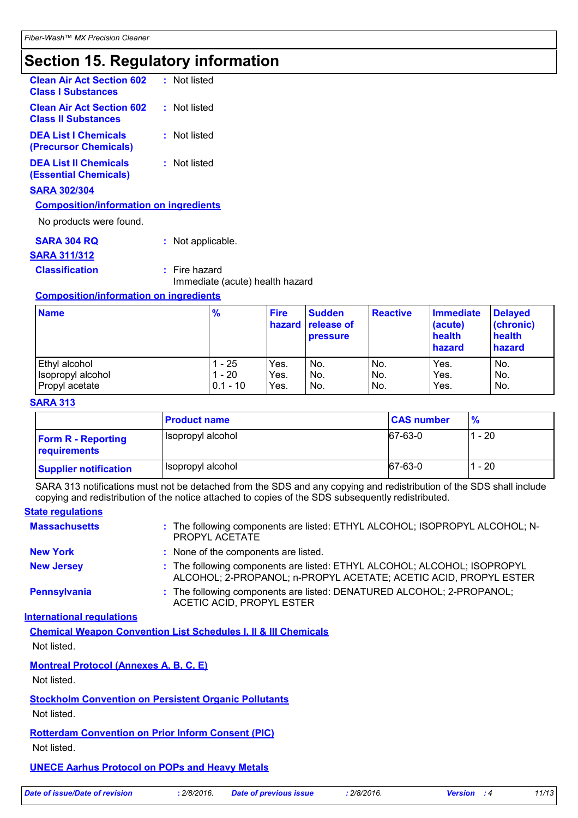### **Section 15. Regulatory information**

| <b>Clean Air Act Section 602</b><br><b>Class I Substances</b>  | : Not listed    |
|----------------------------------------------------------------|-----------------|
| <b>Clean Air Act Section 602</b><br><b>Class II Substances</b> | : Not listed    |
| <b>DEA List I Chemicals</b><br>(Precursor Chemicals)           | : Not listed    |
| <b>DEA List II Chemicals</b><br><b>(Essential Chemicals)</b>   | Not listed      |
| <b>SARA 302/304</b>                                            |                 |
| <b>Composition/information on ingredients</b>                  |                 |
| No products were found.                                        |                 |
| <b>SARA 304 RO</b>                                             | Not applicable. |

### **SARA 311/312**

**Classification :** Fire hazard

Immediate (acute) health hazard

#### **Composition/information on ingredients**

| <b>Name</b>       | $\frac{9}{6}$ | <b>Fire</b> | <b>Sudden</b><br><b>hazard</b> release of<br><b>pressure</b> | <b>Reactive</b> | <b>Immediate</b><br>(acute)<br>health<br>hazard | <b>Delayed</b><br>(chronic)<br>health<br>hazard |
|-------------------|---------------|-------------|--------------------------------------------------------------|-----------------|-------------------------------------------------|-------------------------------------------------|
| Ethyl alcohol     | - 25          | Yes.        | No.                                                          | No.             | Yes.                                            | No.                                             |
| Isopropyl alcohol | $-20$         | Yes.        | No.                                                          | No.             | Yes.                                            | No.                                             |
| Propyl acetate    | $0.1 - 10$    | Yes.        | No.                                                          | No.             | Yes.                                            | No.                                             |

#### **SARA 313**

|                                           | <b>Product name</b> | <b>CAS number</b> | $\frac{9}{6}$ |
|-------------------------------------------|---------------------|-------------------|---------------|
| <b>Form R - Reporting</b><br>requirements | Isopropyl alcohol   | 67-63-0           | 1 - 20        |
| <b>Supplier notification</b>              | Isopropyl alcohol   | 67-63-0           | 1 - 20        |

SARA 313 notifications must not be detached from the SDS and any copying and redistribution of the SDS shall include copying and redistribution of the notice attached to copies of the SDS subsequently redistributed.

| <b>State regulations</b> |                                                                                                                                              |
|--------------------------|----------------------------------------------------------------------------------------------------------------------------------------------|
| <b>Massachusetts</b>     | : The following components are listed: ETHYL ALCOHOL; ISOPROPYL ALCOHOL; N-<br>PROPYL ACETATE                                                |
| <b>New York</b>          | : None of the components are listed.                                                                                                         |
| <b>New Jersey</b>        | : The following components are listed: ETHYL ALCOHOL; ALCOHOL; ISOPROPYL<br>ALCOHOL; 2-PROPANOL; n-PROPYL ACETATE; ACETIC ACID, PROPYL ESTER |
| <b>Pennsylvania</b>      | : The following components are listed: DENATURED ALCOHOL; 2-PROPANOL;<br>ACETIC ACID, PROPYL ESTER                                           |

### **International regulations**

**Chemical Weapon Convention List Schedules I, II & III Chemicals** Not listed.

**Montreal Protocol (Annexes A, B, C, E)**

Not listed.

**Stockholm Convention on Persistent Organic Pollutants**

Not listed.

**Rotterdam Convention on Prior Inform Consent (PIC)** Not listed.

**UNECE Aarhus Protocol on POPs and Heavy Metals**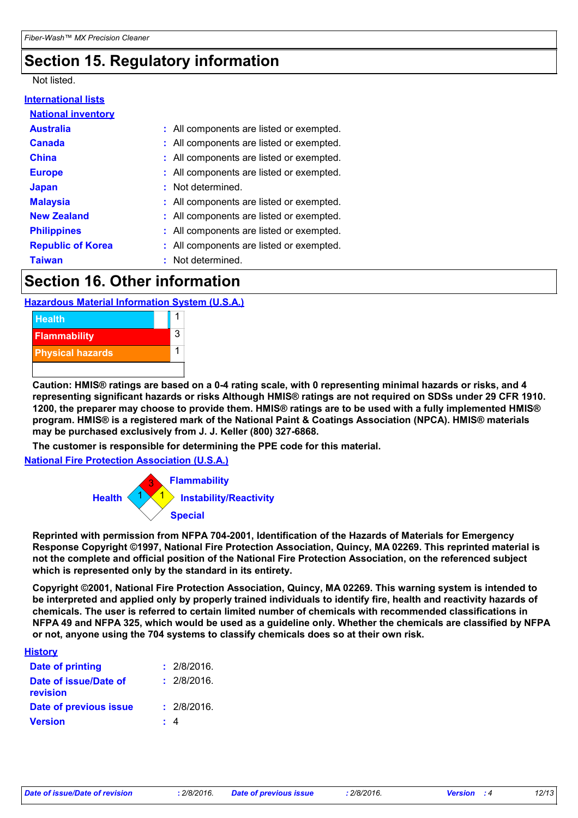### **Section 15. Regulatory information**

### Not listed.

#### **International lists National inventory**

| <b>NGUVIIGI IIIV CHLUI V</b> |                                          |
|------------------------------|------------------------------------------|
| <b>Australia</b>             | : All components are listed or exempted. |
| <b>Canada</b>                | : All components are listed or exempted. |
| <b>China</b>                 | : All components are listed or exempted. |
| <b>Europe</b>                | : All components are listed or exempted. |
| <b>Japan</b>                 | : Not determined.                        |
| <b>Malaysia</b>              | : All components are listed or exempted. |
| <b>New Zealand</b>           | : All components are listed or exempted. |
| <b>Philippines</b>           | : All components are listed or exempted. |
| <b>Republic of Korea</b>     | : All components are listed or exempted. |
| <b>Taiwan</b>                | : Not determined.                        |

### **Section 16. Other information**

### **Hazardous Material Information System (U.S.A.)**



**Caution: HMIS® ratings are based on a 0-4 rating scale, with 0 representing minimal hazards or risks, and 4 representing significant hazards or risks Although HMIS® ratings are not required on SDSs under 29 CFR 1910. 1200, the preparer may choose to provide them. HMIS® ratings are to be used with a fully implemented HMIS® program. HMIS® is a registered mark of the National Paint & Coatings Association (NPCA). HMIS® materials may be purchased exclusively from J. J. Keller (800) 327-6868.**

**The customer is responsible for determining the PPE code for this material.**

**National Fire Protection Association (U.S.A.)**



**Reprinted with permission from NFPA 704-2001, Identification of the Hazards of Materials for Emergency Response Copyright ©1997, National Fire Protection Association, Quincy, MA 02269. This reprinted material is not the complete and official position of the National Fire Protection Association, on the referenced subject which is represented only by the standard in its entirety.**

**Copyright ©2001, National Fire Protection Association, Quincy, MA 02269. This warning system is intended to be interpreted and applied only by properly trained individuals to identify fire, health and reactivity hazards of chemicals. The user is referred to certain limited number of chemicals with recommended classifications in NFPA 49 and NFPA 325, which would be used as a guideline only. Whether the chemicals are classified by NFPA or not, anyone using the 704 systems to classify chemicals does so at their own risk.**

| <b>History</b>                    |             |
|-----------------------------------|-------------|
| Date of printing                  | : 2/8/2016. |
| Date of issue/Date of<br>revision | : 2/8/2016. |
| Date of previous issue            | : 2/8/2016. |
| <b>Version</b>                    | -4          |